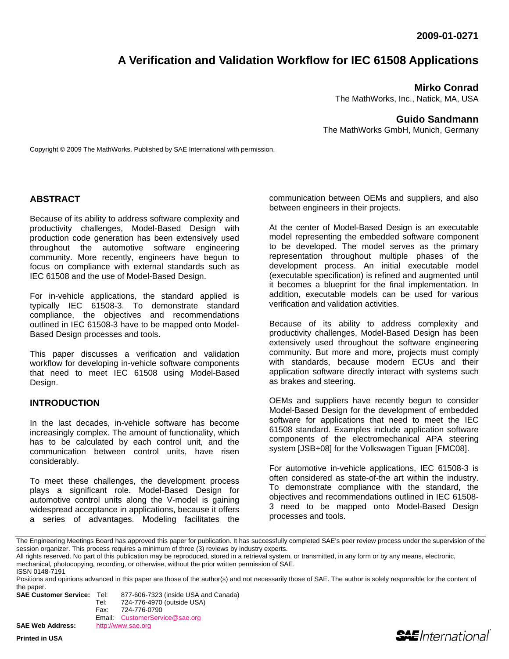# **A Verification and Validation Workflow for IEC 61508 Applications**

**Mirko Conrad** 

The MathWorks, Inc., Natick, MA, USA

# **Guido Sandmann**

The MathWorks GmbH, Munich, Germany

Copyright © 2009 The MathWorks. Published by SAE International with permission.

### **ABSTRACT**

Because of its ability to address software complexity and productivity challenges, Model-Based Design with production code generation has been extensively used throughout the automotive software engineering community. More recently, engineers have begun to focus on compliance with external standards such as IEC 61508 and the use of Model-Based Design.

For in-vehicle applications, the standard applied is typically IEC 61508-3. To demonstrate standard compliance, the objectives and recommendations outlined in IEC 61508-3 have to be mapped onto Model-Based Design processes and tools.

This paper discusses a verification and validation workflow for developing in-vehicle software components that need to meet IEC 61508 using Model-Based Design.

### **INTRODUCTION**

In the last decades, in-vehicle software has become increasingly complex. The amount of functionality, which has to be calculated by each control unit, and the communication between control units, have risen considerably.

To meet these challenges, the development process plays a significant role. Model-Based Design for automotive control units along the V-model is gaining widespread acceptance in applications, because it offers a series of advantages. Modeling facilitates the

communication between OEMs and suppliers, and also between engineers in their projects.

At the center of Model-Based Design is an executable model representing the embedded software component to be developed. The model serves as the primary representation throughout multiple phases of the development process. An initial executable model (executable specification) is refined and augmented until it becomes a blueprint for the final implementation. In addition, executable models can be used for various verification and validation activities.

Because of its ability to address complexity and productivity challenges, Model-Based Design has been extensively used throughout the software engineering community. But more and more, projects must comply with standards, because modern ECUs and their application software directly interact with systems such as brakes and steering.

OEMs and suppliers have recently begun to consider Model-Based Design for the development of embedded software for applications that need to meet the IEC 61508 standard. Examples include application software components of the electromechanical APA steering system [JSB+08] for the Volkswagen Tiguan [FMC08].

For automotive in-vehicle applications, IEC 61508-3 is often considered as state-of-the art within the industry. To demonstrate compliance with the standard, the objectives and recommendations outlined in IEC 61508- 3 need to be mapped onto Model-Based Design processes and tools.

Positions and opinions advanced in this paper are those of the author(s) and not necessarily those of SAE. The author is solely responsible for the content of the paper.

| <b>SAE Customer Service:</b> | Tel:               | 877-606-7323 (inside USA and Canada) |
|------------------------------|--------------------|--------------------------------------|
|                              | Tel:               | 724-776-4970 (outside USA)           |
|                              |                    | Fax: 724-776-0790                    |
|                              |                    | Email: CustomerService@sae.org       |
| <b>SAE Web Address:</b>      | http://www.sae.org |                                      |



The Engineering Meetings Board has approved this paper for publication. It has successfully completed SAE's peer review process under the supervision of the session organizer. This process requires a minimum of three (3) reviews by industry experts.

All rights reserved. No part of this publication may be reproduced, stored in a retrieval system, or transmitted, in any form or by any means, electronic, mechanical, photocopying, recording, or otherwise, without the prior written permission of SAE.

ISSN 0148-7191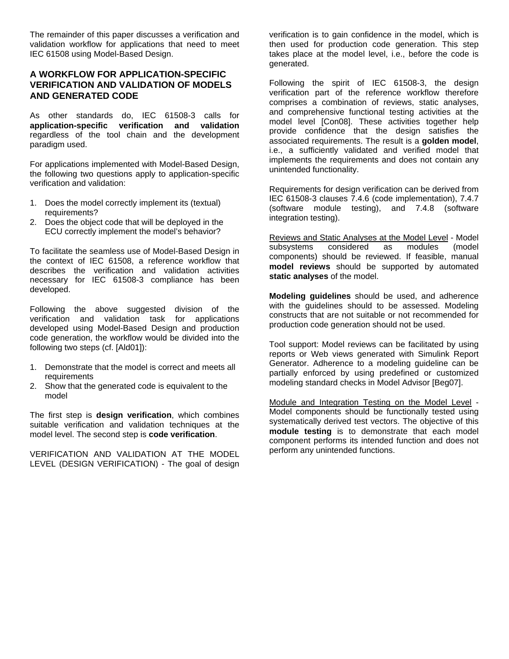The remainder of this paper discusses a verification and validation workflow for applications that need to meet IEC 61508 using Model-Based Design.

### **A WORKFLOW FOR APPLICATION-SPECIFIC VERIFICATION AND VALIDATION OF MODELS AND GENERATED CODE**

As other standards do, IEC 61508-3 calls for **application-specific verification and validation** regardless of the tool chain and the development paradigm used.

For applications implemented with Model-Based Design, the following two questions apply to application-specific verification and validation:

- 1. Does the model correctly implement its (textual) requirements?
- 2. Does the object code that will be deployed in the ECU correctly implement the model's behavior?

To facilitate the seamless use of Model-Based Design in the context of IEC 61508, a reference workflow that describes the verification and validation activities necessary for IEC 61508-3 compliance has been developed.

Following the above suggested division of the verification and validation task for applications developed using Model-Based Design and production code generation, the workflow would be divided into the following two steps (cf. [Ald01]):

- 1. Demonstrate that the model is correct and meets all requirements
- 2. Show that the generated code is equivalent to the model

The first step is **design verification**, which combines suitable verification and validation techniques at the model level. The second step is **code verification**.

VERIFICATION AND VALIDATION AT THE MODEL LEVEL (DESIGN VERIFICATION) - The goal of design

verification is to gain confidence in the model, which is then used for production code generation. This step takes place at the model level, i.e., before the code is generated.

Following the spirit of IEC 61508-3, the design verification part of the reference workflow therefore comprises a combination of reviews, static analyses, and comprehensive functional testing activities at the model level [Con08]. These activities together help provide confidence that the design satisfies the associated requirements. The result is a **golden model**, i.e., a sufficiently validated and verified model that implements the requirements and does not contain any unintended functionality.

Requirements for design verification can be derived from IEC 61508-3 clauses 7.4.6 (code implementation), 7.4.7 (software module testing), and 7.4.8 (software integration testing).

Reviews and Static Analyses at the Model Level - Model subsystems considered as modules (model components) should be reviewed. If feasible, manual **model reviews** should be supported by automated **static analyses** of the model.

**Modeling guidelines** should be used, and adherence with the guidelines should to be assessed. Modeling constructs that are not suitable or not recommended for production code generation should not be used.

Tool support: Model reviews can be facilitated by using reports or Web views generated with Simulink Report Generator. Adherence to a modeling guideline can be partially enforced by using predefined or customized modeling standard checks in Model Advisor [Beg07].

Module and Integration Testing on the Model Level - Model components should be functionally tested using systematically derived test vectors. The objective of this **module testing** is to demonstrate that each model component performs its intended function and does not perform any unintended functions.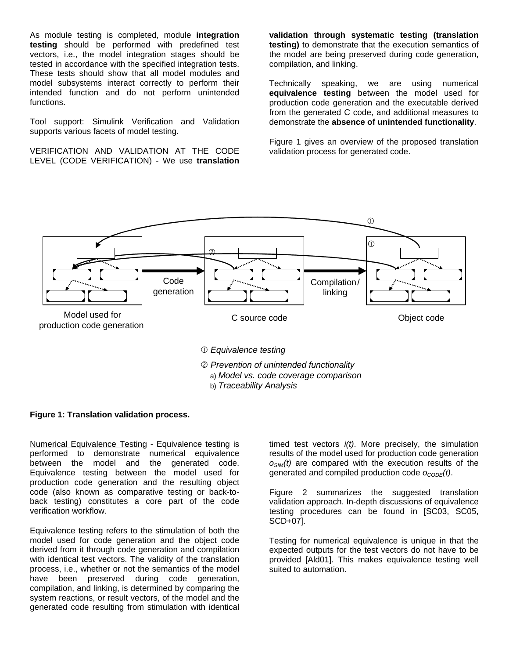As module testing is completed, module **integration testing** should be performed with predefined test vectors, i.e., the model integration stages should be tested in accordance with the specified integration tests. These tests should show that all model modules and model subsystems interact correctly to perform their intended function and do not perform unintended functions.

Tool support: Simulink Verification and Validation supports various facets of model testing.

VERIFICATION AND VALIDATION AT THE CODE LEVEL (CODE VERIFICATION) - We use **translation** 

**validation through systematic testing (translation testing)** to demonstrate that the execution semantics of the model are being preserved during code generation, compilation, and linking.

Technically speaking, we are using numerical **equivalence testing** between the model used for production code generation and the executable derived from the generated C code, and additional measures to demonstrate the **absence of unintended functionality**.

Figure 1 gives an overview of the proposed translation validation process for generated code.



- *Equivalence testing*
- *Prevention of unintended functionality* a) *Model vs. code coverage comparison* 
	- b) *Traceability Analysis*

### **Figure 1: Translation validation process.**

Numerical Equivalence Testing - Equivalence testing is performed to demonstrate numerical equivalence between the model and the generated code. Equivalence testing between the model used for production code generation and the resulting object code (also known as comparative testing or back-toback testing) constitutes a core part of the code verification workflow.

Equivalence testing refers to the stimulation of both the model used for code generation and the object code derived from it through code generation and compilation with identical test vectors. The validity of the translation process, i.e., whether or not the semantics of the model have been preserved during code generation, compilation, and linking, is determined by comparing the system reactions, or result vectors, of the model and the generated code resulting from stimulation with identical

timed test vectors *i(t)*. More precisely, the simulation results of the model used for production code generation  $o<sub>SIM</sub>(t)$  are compared with the execution results of the generated and compiled production code  $o_{COPF}(t)$ .

Figure 2 summarizes the suggested translation validation approach. In-depth discussions of equivalence testing procedures can be found in [SC03, SC05, SCD+07].

Testing for numerical equivalence is unique in that the expected outputs for the test vectors do not have to be provided [Ald01]. This makes equivalence testing well suited to automation.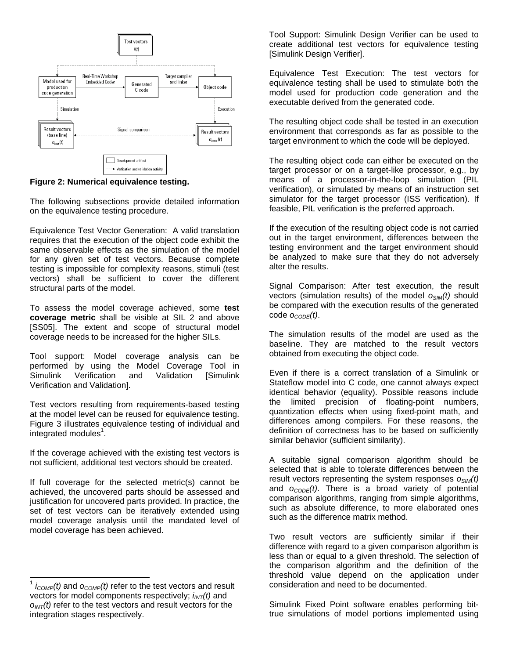

**Figure 2: Numerical equivalence testing.** 

The following subsections provide detailed information on the equivalence testing procedure.

Equivalence Test Vector Generation: A valid translation requires that the execution of the object code exhibit the same observable effects as the simulation of the model for any given set of test vectors. Because complete testing is impossible for complexity reasons, stimuli (test vectors) shall be sufficient to cover the different structural parts of the model.

To assess the model coverage achieved, some **test coverage metric** shall be visible at SIL 2 and above [SS05]. The extent and scope of structural model coverage needs to be increased for the higher SILs.

Tool support: Model coverage analysis can be performed by using the Model Coverage Tool in Simulink Verification and Validation [Simulink Verification and Validation].

Test vectors resulting from requirements-based testing at the model level can be reused for equivalence testing. Figure 3 illustrates equivalence testing of individual and integrated modules $^1$ .

If the coverage achieved with the existing test vectors is not sufficient, additional test vectors should be created.

If full coverage for the selected metric(s) cannot be achieved, the uncovered parts should be assessed and justification for uncovered parts provided. In practice, the set of test vectors can be iteratively extended using model coverage analysis until the mandated level of model coverage has been achieved.

1

Tool Support: Simulink Design Verifier can be used to create additional test vectors for equivalence testing [Simulink Design Verifier].

Equivalence Test Execution: The test vectors for equivalence testing shall be used to stimulate both the model used for production code generation and the executable derived from the generated code.

The resulting object code shall be tested in an execution environment that corresponds as far as possible to the target environment to which the code will be deployed.

The resulting object code can either be executed on the target processor or on a target-like processor, e.g., by means of a processor-in-the-loop simulation (PIL verification), or simulated by means of an instruction set simulator for the target processor (ISS verification). If feasible, PIL verification is the preferred approach.

If the execution of the resulting object code is not carried out in the target environment, differences between the testing environment and the target environment should be analyzed to make sure that they do not adversely alter the results.

Signal Comparison: After test execution, the result vectors (simulation results) of the model  $o_{SIM}(t)$  should be compared with the execution results of the generated code  $o_{\text{coDE}}(t)$ .

The simulation results of the model are used as the baseline. They are matched to the result vectors obtained from executing the object code.

Even if there is a correct translation of a Simulink or Stateflow model into C code, one cannot always expect identical behavior (equality). Possible reasons include the limited precision of floating-point numbers, quantization effects when using fixed-point math, and differences among compilers. For these reasons, the definition of correctness has to be based on sufficiently similar behavior (sufficient similarity).

A suitable signal comparison algorithm should be selected that is able to tolerate differences between the result vectors representing the system responses  $o_{SM}(t)$ and  $o_{\text{CoDE}}(t)$ . There is a broad variety of potential comparison algorithms, ranging from simple algorithms, such as absolute difference, to more elaborated ones such as the difference matrix method.

Two result vectors are sufficiently similar if their difference with regard to a given comparison algorithm is less than or equal to a given threshold. The selection of the comparison algorithm and the definition of the threshold value depend on the application under consideration and need to be documented.

Simulink Fixed Point software enables performing bittrue simulations of model portions implemented using

 $i_{\text{COMP}}(t)$  and  $o_{\text{COMP}}(t)$  refer to the test vectors and result vectors for model components respectively;  $i_{INT}(t)$  and  $O_{INT}(t)$  refer to the test vectors and result vectors for the integration stages respectively.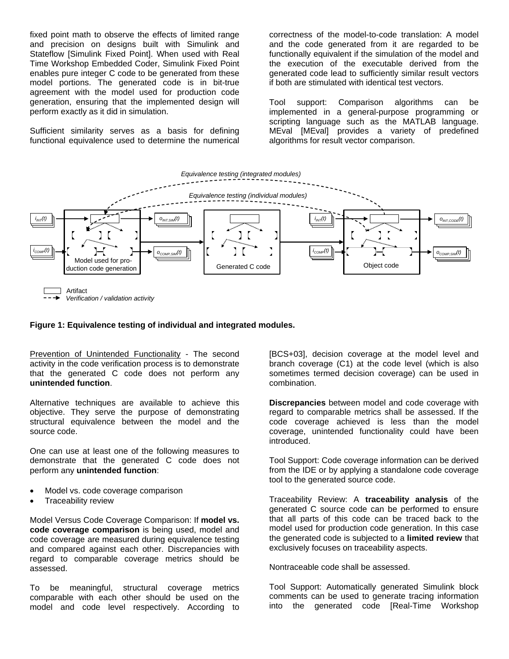fixed point math to observe the effects of limited range and precision on designs built with Simulink and Stateflow [Simulink Fixed Point]. When used with Real Time Workshop Embedded Coder, Simulink Fixed Point enables pure integer C code to be generated from these model portions. The generated code is in bit-true agreement with the model used for production code generation, ensuring that the implemented design will perform exactly as it did in simulation.

Sufficient similarity serves as a basis for defining functional equivalence used to determine the numerical

correctness of the model-to-code translation: A model and the code generated from it are regarded to be functionally equivalent if the simulation of the model and the execution of the executable derived from the generated code lead to sufficiently similar result vectors if both are stimulated with identical test vectors.

Tool support: Comparison algorithms can be implemented in a general-purpose programming or scripting language such as the MATLAB language. MEval [MEval] provides a variety of predefined algorithms for result vector comparison.



*Verification / validation activity*

#### **Figure 1: Equivalence testing of individual and integrated modules.**

Prevention of Unintended Functionality - The second activity in the code verification process is to demonstrate that the generated C code does not perform any **unintended function**.

Alternative techniques are available to achieve this objective. They serve the purpose of demonstrating structural equivalence between the model and the source code.

One can use at least one of the following measures to demonstrate that the generated C code does not perform any **unintended function**:

- Model vs. code coverage comparison
- Traceability review

Model Versus Code Coverage Comparison: If **model vs. code coverage comparison** is being used, model and code coverage are measured during equivalence testing and compared against each other. Discrepancies with regard to comparable coverage metrics should be assessed.

To be meaningful, structural coverage metrics comparable with each other should be used on the model and code level respectively. According to [BCS+03], decision coverage at the model level and branch coverage (C1) at the code level (which is also sometimes termed decision coverage) can be used in combination.

**Discrepancies** between model and code coverage with regard to comparable metrics shall be assessed. If the code coverage achieved is less than the model coverage, unintended functionality could have been introduced.

Tool Support: Code coverage information can be derived from the IDE or by applying a standalone code coverage tool to the generated source code.

Traceability Review: A **traceability analysis** of the generated C source code can be performed to ensure that all parts of this code can be traced back to the model used for production code generation. In this case the generated code is subjected to a **limited review** that exclusively focuses on traceability aspects.

Nontraceable code shall be assessed.

Tool Support: Automatically generated Simulink block comments can be used to generate tracing information into the generated code [Real-Time Workshop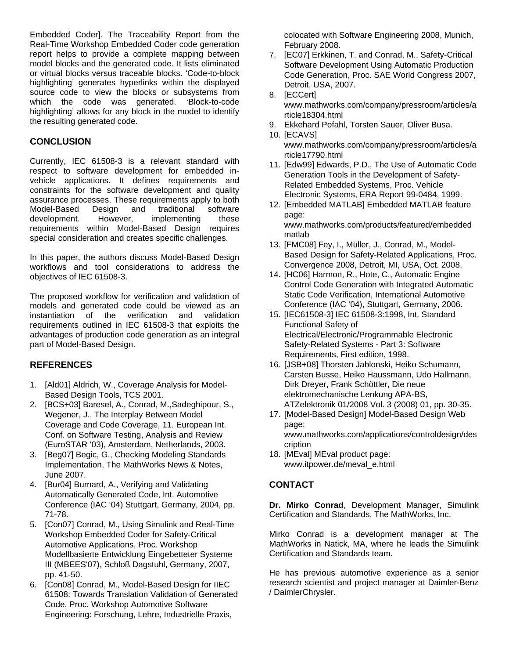Embedded Coder]. The Traceability Report from the Real-Time Workshop Embedded Coder code generation report helps to provide a complete mapping between model blocks and the generated code. It lists eliminated or virtual blocks versus traceable blocks. 'Code-to-block highlighting' generates hyperlinks within the displayed source code to view the blocks or subsystems from which the code was generated. 'Block-to-code highlighting' allows for any block in the model to identify the resulting generated code.

### **CONCLUSION**

Currently, IEC 61508-3 is a relevant standard with respect to software development for embedded invehicle applications. It defines requirements and constraints for the software development and quality assurance processes. These requirements apply to both Model-Based Design and traditional software development. However, implementing these requirements within Model-Based Design requires special consideration and creates specific challenges.

In this paper, the authors discuss Model-Based Design workflows and tool considerations to address the objectives of IEC 61508-3.

The proposed workflow for verification and validation of models and generated code could be viewed as an instantiation of the verification and validation requirements outlined in IEC 61508-3 that exploits the advantages of production code generation as an integral part of Model-Based Design.

# **REFERENCES**

- 1. [Ald01] Aldrich, W., Coverage Analysis for Model-Based Design Tools, TCS 2001.
- 2. [BCS+03] Baresel, A., Conrad, M.,Sadeghipour, S., Wegener, J., The Interplay Between Model Coverage and Code Coverage, 11. European Int. Conf. on Software Testing, Analysis and Review (EuroSTAR '03), Amsterdam, Netherlands, 2003.
- 3. [Beg07] Begic, G., Checking Modeling Standards Implementation, The MathWorks News & Notes, June 2007.
- 4. [Bur04] Burnard, A., Verifying and Validating Automatically Generated Code, Int. Automotive Conference (IAC '04) Stuttgart, Germany, 2004, pp. 71-78.
- 5. [Con07] Conrad, M., Using Simulink and Real-Time Workshop Embedded Coder for Safety-Critical Automotive Applications, Proc. Workshop Modellbasierte Entwicklung Eingebetteter Systeme III (MBEES'07), Schloß Dagstuhl, Germany, 2007, pp. 41-50.
- 6. [Con08] Conrad, M., Model-Based Design for IIEC 61508: Towards Translation Validation of Generated Code, Proc. Workshop Automotive Software Engineering: Forschung, Lehre, Industrielle Praxis,

colocated with Software Engineering 2008, Munich, February 2008.

- 7. [EC07] Erkkinen, T. and Conrad, M., Safety-Critical Software Development Using Automatic Production Code Generation, Proc. SAE World Congress 2007, Detroit, USA, 2007.
- 8. [ECCert] www.mathworks.com/company/pressroom/articles/a rticle18304.html
- 9. Ekkehard Pofahl, Torsten Sauer, Oliver Busa.
- 10. [ECAVS] www.mathworks.com/company/pressroom/articles/a rticle17790.html
- 11. [Edw99] Edwards, P.D., The Use of Automatic Code Generation Tools in the Development of Safety-Related Embedded Systems, Proc. Vehicle Electronic Systems, ERA Report 99-0484, 1999.
- 12. [Embedded MATLAB] Embedded MATLAB feature page:

www.mathworks.com/products/featured/embedded matlab

- 13. [FMC08] Fey, I., Müller, J., Conrad, M., Model-Based Design for Safety-Related Applications, Proc. Convergence 2008, Detroit, MI, USA, Oct. 2008.
- 14. [HC06] Harmon, R., Hote, C., Automatic Engine Control Code Generation with Integrated Automatic Static Code Verification, International Automotive Conference (IAC '04), Stuttgart, Germany, 2006.
- 15. [IEC61508-3] IEC 61508-3:1998, Int. Standard Functional Safety of Electrical/Electronic/Programmable Electronic Safety-Related Systems - Part 3: Software Requirements, First edition, 1998.
- 16. [JSB+08] Thorsten Jablonski, Heiko Schumann, Carsten Busse, Heiko Haussmann, Udo Hallmann, Dirk Dreyer, Frank Schöttler, Die neue elektromechanische Lenkung APA-BS, ATZelektronik 01/2008 Vol. 3 (2008) 01, pp. 30-35.
- 17. [Model-Based Design] Model-Based Design Web page: www.mathworks.com/applications/controldesign/des cription
- 18. [MEval] MEval product page: www.itpower.de/meval\_e.html

# **CONTACT**

**Dr. Mirko Conrad**, Development Manager, Simulink Certification and Standards, The MathWorks, Inc.

Mirko Conrad is a development manager at The MathWorks in Natick, MA, where he leads the Simulink Certification and Standards team.

He has previous automotive experience as a senior research scientist and project manager at Daimler-Benz / DaimlerChrysler.